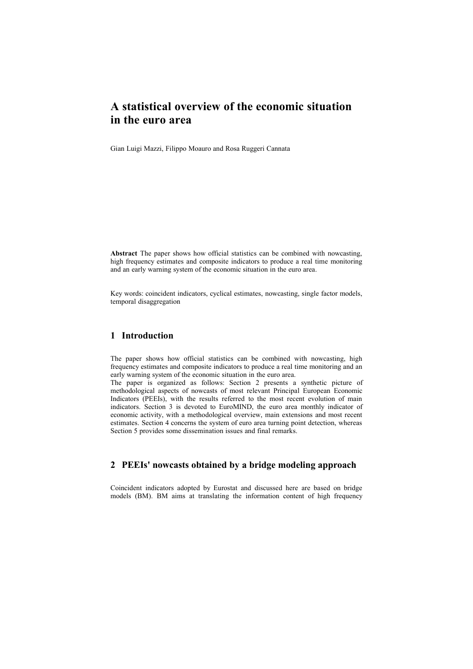Gian Luigi Mazzi, Filippo Moauro and Rosa Ruggeri Cannata

**Abstract** The paper shows how official statistics can be combined with nowcasting, high frequency estimates and composite indicators to produce a real time monitoring and an early warning system of the economic situation in the euro area.

Key words: coincident indicators, cyclical estimates, nowcasting, single factor models, temporal disaggregation

## **1 Introduction**

The paper shows how official statistics can be combined with nowcasting, high frequency estimates and composite indicators to produce a real time monitoring and an early warning system of the economic situation in the euro area.

The paper is organized as follows: Section 2 presents a synthetic picture of methodological aspects of nowcasts of most relevant Principal European Economic Indicators (PEEIs), with the results referred to the most recent evolution of main indicators. Section 3 is devoted to EuroMIND, the euro area monthly indicator of economic activity, with a methodological overview, main extensions and most recent estimates. Section 4 concerns the system of euro area turning point detection, whereas Section 5 provides some dissemination issues and final remarks.

# **2 PEEIs' nowcasts obtained by a bridge modeling approach**

Coincident indicators adopted by Eurostat and discussed here are based on bridge models (BM). BM aims at translating the information content of high frequency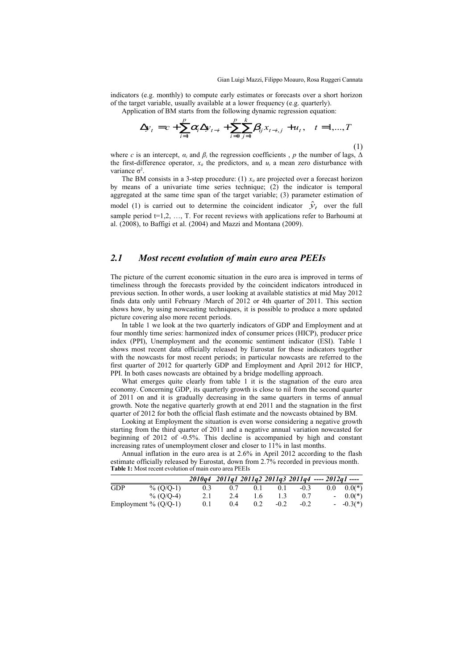indicators (e.g. monthly) to compute early estimates or forecasts over a short horizon of the target variable, usually available at a lower frequency (e.g. quarterly).

Application of BM starts from the following dynamic regression equation:

$$
\Delta y_t = c + \sum_{i=1}^p \alpha_i \Delta y_{t-i} + \sum_{i=0}^p \sum_{j=1}^k \beta_{ij} x_{t-i,j} + u_t, \quad t = 1,...,T
$$
\n(1)

where *c* is an intercept,  $\alpha_i$  and  $\beta_i$  the regression coefficients , *p* the number of lags,  $\Delta$ the first-difference operator,  $x_i$  the predictors, and  $u_i$  a mean zero disturbance with variance  $σ²$ .

The BM consists in a 3-step procedure: (1)  $x_i$  are projected over a forecast horizon by means of a univariate time series technique; (2) the indicator is temporal aggregated at the same time span of the target variable; (3) parameter estimation of model (1) is carried out to determine the coincident indicator  $\hat{y}_t$  over the full sample period  $t=1,2, \ldots, T$ . For recent reviews with applications refer to Barhoumi at al. (2008), to Baffigi et al. (2004) and Mazzi and Montana (2009).

# *2.1 Most recent evolution of main euro area PEEIs*

The picture of the current economic situation in the euro area is improved in terms of timeliness through the forecasts provided by the coincident indicators introduced in previous section. In other words, a user looking at available statistics at mid May 2012 finds data only until February /March of 2012 or 4th quarter of 2011. This section shows how, by using nowcasting techniques, it is possible to produce a more updated picture covering also more recent periods.

In table 1 we look at the two quarterly indicators of GDP and Employment and at four monthly time series: harmonized index of consumer prices (HICP), producer price index (PPI), Unemployment and the economic sentiment indicator (ESI). Table 1 shows most recent data officially released by Eurostat for these indicators together with the nowcasts for most recent periods; in particular nowcasts are referred to the first quarter of 2012 for quarterly GDP and Employment and April 2012 for HICP, PPI. In both cases nowcasts are obtained by a bridge modelling approach.

What emerges quite clearly from table 1 it is the stagnation of the euro area economy. Concerning GDP, its quarterly growth is close to nil from the second quarter of 2011 on and it is gradually decreasing in the same quarters in terms of annual growth. Note the negative quarterly growth at end 2011 and the stagnation in the first quarter of 2012 for both the official flash estimate and the nowcasts obtained by BM.

Looking at Employment the situation is even worse considering a negative growth starting from the third quarter of 2011 and a negative annual variation nowcasted for beginning of 2012 of -0.5%. This decline is accompanied by high and constant increasing rates of unemployment closer and closer to 11% in last months.

Annual inflation in the euro area is at 2.6% in April 2012 according to the flash estimate officially released by Eurostat, down from 2.7% recorded in previous month. **Table 1:** Most recent evolution of main euro area PEEIs

|                        |              |               |     |     |        |        | $2010q4$ $2011q1$ $2011q2$ $2011q3$ $2011q4$ ---- $2012q1$ ---- |                    |
|------------------------|--------------|---------------|-----|-----|--------|--------|-----------------------------------------------------------------|--------------------|
| <b>GDP</b>             | $\%$ (O/O-1) | $0.3^{\circ}$ | 0.7 | 0.1 | 0.1    | $-0.3$ |                                                                 | $0.0 \quad 0.0(*)$ |
|                        | $\%$ (O/O-4) | 2.1           | 2.4 | 1.6 |        | 07     |                                                                 | $-0.0(*)$          |
| Employment % $(Q/Q-1)$ |              | 0.1           | 04  | 0.2 | $-0.2$ | $-0.2$ |                                                                 | $-0.3(*)$          |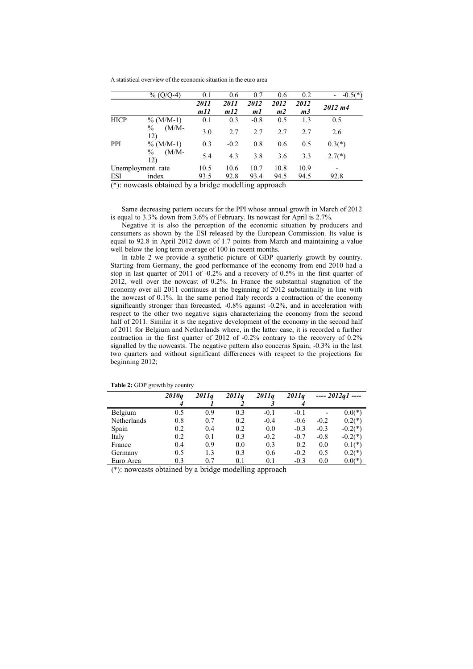|             | $\%$ (O/O-4)                    | 0.1  | 0.6         | 0.7    | 0.6            | 0.2         | $-0.5(*)$ |
|-------------|---------------------------------|------|-------------|--------|----------------|-------------|-----------|
|             |                                 | 2011 | <i>2011</i> | 2012   | <i>2012</i>    | <i>2012</i> | 2012 m4   |
|             |                                 | m11  | m12         | m1     | m <sub>2</sub> | m3          |           |
| <b>HICP</b> | $\%$ (M/M-1)                    | 0.1  | 0.3         | $-0.8$ | 0.5            | 1.3         | 0.5       |
|             | $\%$<br>$(M/M-$<br>12)          | 3.0  | 2.7         | 2.7    | 2.7            | 2.7         | 2.6       |
| PPI         | $\%$ (M/M-1)                    | 0.3  | $-0.2$      | 0.8    | 0.6            | 0.5         | $0.3(*)$  |
|             | $\frac{0}{0}$<br>$(M/M-$<br>12) | 5.4  | 4.3         | 3.8    | 3.6            | 3.3         | $2.7(*)$  |
|             | Unemployment rate               | 10.5 | 10.6        | 10.7   | 10.8           | 10.9        |           |
| ESI         | index                           | 93.5 | 92.8        | 93.4   | 94.5           | 94.5        | 92.8      |

(\*): nowcasts obtained by a bridge modelling approach

Same decreasing pattern occurs for the PPI whose annual growth in March of 2012 is equal to 3.3% down from 3.6% of February. Its nowcast for April is 2.7%.

Negative it is also the perception of the economic situation by producers and consumers as shown by the ESI released by the European Commission. Its value is equal to 92.8 in April 2012 down of 1.7 points from March and maintaining a value well below the long term average of 100 in recent months.

In table 2 we provide a synthetic picture of GDP quarterly growth by country. Starting from Germany, the good performance of the economy from end 2010 had a stop in last quarter of 2011 of -0.2% and a recovery of 0.5% in the first quarter of 2012, well over the nowcast of 0.2%. In France the substantial stagnation of the economy over all 2011 continues at the beginning of 2012 substantially in line with the nowcast of 0.1%. In the same period Italy records a contraction of the economy significantly stronger than forecasted, -0.8% against -0.2%, and in acceleration with respect to the other two negative signs characterizing the economy from the second half of 2011. Similar it is the negative development of the economy in the second half of 2011 for Belgium and Netherlands where, in the latter case, it is recorded a further contraction in the first quarter of 2012 of -0.2% contrary to the recovery of 0.2% signalled by the nowcasts. The negative pattern also concerns Spain, -0.3% in the last two quarters and without significant differences with respect to the projections for beginning 2012;

|             | 2010 <sub>a</sub> | 2011 <sub>a</sub> | 2011 <sub>a</sub> | 2011 <sub>a</sub> | 2011 <sub>a</sub> |        | $--- 2012a1$ ---- |
|-------------|-------------------|-------------------|-------------------|-------------------|-------------------|--------|-------------------|
|             | 4                 |                   |                   |                   |                   |        |                   |
| Belgium     | 0.5               | 0.9               | 0.3               | $-0.1$            | $-0.1$            |        | $0.0(*)$          |
| Netherlands | 0.8               | 0.7               | 0.2               | $-0.4$            | $-0.6$            | $-0.2$ | $0.2(*)$          |
| Spain       | 0.2               | 0.4               | 0.2               | 0.0               | $-0.3$            | $-0.3$ | $-0.2(*)$         |
| Italy       | 0.2               | 0.1               | 0.3               | $-0.2$            | $-0.7$            | $-0.8$ | $-0.2(*)$         |
| France      | 0.4               | 0.9               | 0.0               | 0.3               | 0.2               | 0.0    | $0.1(*)$          |
| Germany     | 0.5               | 1.3               | 0.3               | 0.6               | $-0.2$            | 0.5    | $0.2(*)$          |
| Euro Area   | 0.3               | 07                | 0.1               | 0.1               | $-0.3$            | 0.0    | $0.0(*)$          |

**Table 2:** GDP growth by country

(\*): nowcasts obtained by a bridge modelling approach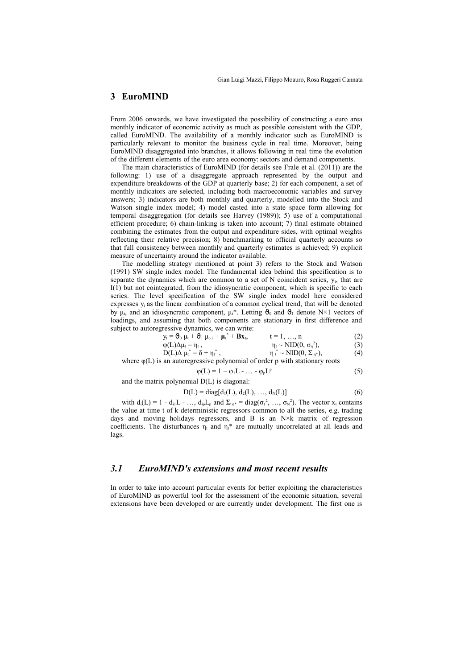## **3 EuroMIND**

From 2006 onwards, we have investigated the possibility of constructing a euro area monthly indicator of economic activity as much as possible consistent with the GDP, called EuroMIND. The availability of a monthly indicator such as EuroMIND is particularly relevant to monitor the business cycle in real time. Moreover, being EuroMIND disaggregated into branches, it allows following in real time the evolution of the different elements of the euro area economy: sectors and demand components.

The main characteristics of EuroMIND (for details see Frale et al. (2011)) are the following: 1) use of a disaggregate approach represented by the output and expenditure breakdowns of the GDP at quarterly base; 2) for each component, a set of monthly indicators are selected, including both macroeconomic variables and survey answers; 3) indicators are both monthly and quarterly, modelled into the Stock and Watson single index model; 4) model casted into a state space form allowing for temporal disaggregation (for details see Harvey (1989)); 5) use of a computational efficient procedure; 6) chain-linking is taken into account; 7) final estimate obtained combining the estimates from the output and expenditure sides, with optimal weights reflecting their relative precision; 8) benchmarking to official quarterly accounts so that full consistency between monthly and quarterly estimates is achieved; 9) explicit measure of uncertainty around the indicator available.

The modelling strategy mentioned at point 3) refers to the Stock and Watson (1991) SW single index model. The fundamental idea behind this specification is to separate the dynamics which are common to a set of  $N$  coincident series,  $y_t$ , that are I(1) but not cointegrated, from the idiosyncratic component, which is specific to each series. The level specification of the SW single index model here considered expresses  $y_t$  as the linear combination of a common cyclical trend, that will be denoted by  $\mu_t$ , and an idiosyncratic component,  $\mu_t^*$ . Letting  $\Theta_0$  and  $\Theta_1$  denote N×1 vectors of loadings, and assuming that both components are stationary in first difference and subject to autoregressive dynamics, we can write:

$$
y_{t} = \mathbf{\Theta}_{0} \mu_{t} + \mathbf{\Theta}_{1} \mu_{t-1} + \mu_{t}^{*} + \mathbf{B} \mathbf{x}_{t}, \qquad t = 1, ..., n
$$
 (2)

$$
\varphi(L)\Delta\mu_t = \eta_t, \qquad \eta_t \sim \text{NID}(0, \sigma_\eta^2), \qquad (3)
$$
  
 
$$
D(L)\Delta\mu_t^* = \delta + \eta_t^*, \qquad \eta_t^* \sim \text{NID}(0, \Sigma_{\eta^*}), \qquad (4)
$$

where  $\varphi(L)$  is an autoregressive polynomial of order p with stationary roots

$$
\varphi(L) = 1 - \varphi_1 L - \dots - \varphi_p L^p \tag{5}
$$

and the matrix polynomial D(L) is diagonal:

$$
D(L) = diag[d_1(L), d_2(L), ..., d_N(L)]
$$
 (6)

with  $d_i(L) = 1 - d_{i1}L - \dots$ ,  $d_{ip}L_p$  and  $\Sigma_{\eta^*} = diag(\sigma_1^2, \dots, \sigma_N^2)$ . The vector  $x_t$  contains the value at time t of k deterministic regressors common to all the series, e.g. trading days and moving holidays regressors, and B is an  $N \times k$  matrix of regression coefficients. The disturbances  $\eta_t$  and  $\eta_t^*$  are mutually uncorrelated at all leads and lags.

#### *3.1 EuroMIND's extensions and most recent results*

In order to take into account particular events for better exploiting the characteristics of EuroMIND as powerful tool for the assessment of the economic situation, several extensions have been developed or are currently under development. The first one is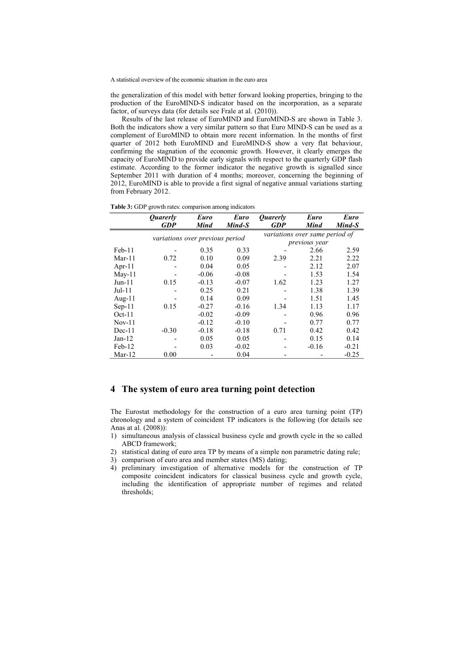the generalization of this model with better forward looking properties, bringing to the production of the EuroMIND-S indicator based on the incorporation, as a separate factor, of surveys data (for details see Frale at al. (2010)).

Results of the last release of EuroMIND and EuroMIND-S are shown in Table 3. Both the indicators show a very similar pattern so that Euro MIND-S can be used as a complement of EuroMIND to obtain more recent information. In the months of first quarter of 2012 both EuroMIND and EuroMIND-S show a very flat behaviour, confirming the stagnation of the economic growth. However, it clearly emerges the capacity of EuroMIND to provide early signals with respect to the quarterly GDP flash estimate. According to the former indicator the negative growth is signalled since September 2011 with duration of 4 months; moreover, concerning the beginning of 2012, EuroMIND is able to provide a first signal of negative annual variations starting from February 2012.

**Table 3:** GDP growth rates: comparison among indicators

|           | <i><b>Ouarerly</b></i>          | <b>Euro</b> | <b>Euro</b> | <i><b>Ouarerly</b></i>         | Euro    | Euro    |  |
|-----------|---------------------------------|-------------|-------------|--------------------------------|---------|---------|--|
|           | <b>GDP</b>                      | <b>Mind</b> | Mind-S      | <b>GDP</b>                     | Mind    | Mind-S  |  |
|           | variations over previous period |             |             | variations over same period of |         |         |  |
|           |                                 |             |             | previous year                  |         |         |  |
| $Feb-11$  |                                 | 0.35        | 0.33        |                                | 2.66    | 2.59    |  |
| $Mar-11$  | 0.72                            | 0.10        | 0.09        | 2.39                           | 2.21    | 2.22    |  |
| Apr- $11$ |                                 | 0.04        | 0.05        |                                | 2.12    | 2.07    |  |
| $May-11$  |                                 | $-0.06$     | $-0.08$     |                                | 1.53    | 1.54    |  |
| $Jun-11$  | 0.15                            | $-0.13$     | $-0.07$     | 1.62                           | 1.23    | 1.27    |  |
| $Jul-11$  |                                 | 0.25        | 0.21        |                                | 1.38    | 1.39    |  |
| Aug- $11$ |                                 | 0.14        | 0.09        |                                | 1.51    | 1.45    |  |
| $Sep-11$  | 0.15                            | $-0.27$     | $-0.16$     | 1.34                           | 1.13    | 1.17    |  |
| $Oct-11$  |                                 | $-0.02$     | $-0.09$     |                                | 0.96    | 0.96    |  |
| $Nov-11$  |                                 | $-0.12$     | $-0.10$     |                                | 0.77    | 0.77    |  |
| $Dec-11$  | $-0.30$                         | $-0.18$     | $-0.18$     | 0.71                           | 0.42    | 0.42    |  |
| $Jan-12$  |                                 | 0.05        | 0.05        |                                | 0.15    | 0.14    |  |
| $Feb-12$  |                                 | 0.03        | $-0.02$     |                                | $-0.16$ | $-0.21$ |  |
| $Mar-12$  | 0.00                            |             | 0.04        |                                |         | $-0.25$ |  |

## **4 The system of euro area turning point detection**

The Eurostat methodology for the construction of a euro area turning point (TP) chronology and a system of coincident TP indicators is the following (for details see Anas at al. (2008)):

- 1) simultaneous analysis of classical business cycle and growth cycle in the so called ABCD framework;
- 2) statistical dating of euro area TP by means of a simple non parametric dating rule;
- 3) comparison of euro area and member states (MS) dating;
- 4) preliminary investigation of alternative models for the construction of TP composite coincident indicators for classical business cycle and growth cycle, including the identification of appropriate number of regimes and related thresholds;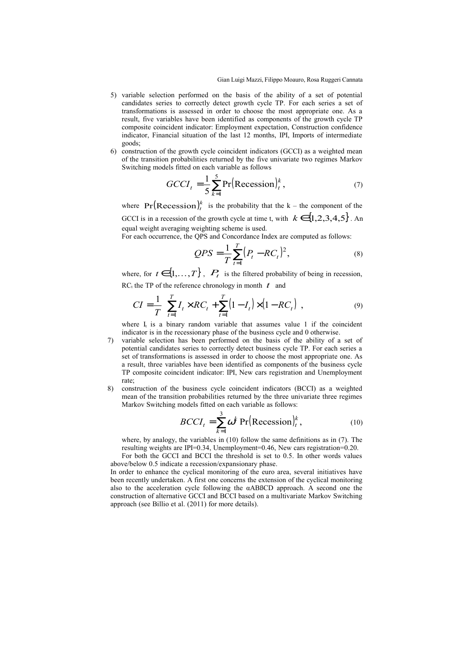- 5) variable selection performed on the basis of the ability of a set of potential candidates series to correctly detect growth cycle TP. For each series a set of transformations is assessed in order to choose the most appropriate one. As a result, five variables have been identified as components of the growth cycle TP composite coincident indicator: Employment expectation, Construction confidence indicator, Financial situation of the last 12 months, IPI, Imports of intermediate goods;
- 6) construction of the growth cycle coincident indicators (GCCI) as a weighted mean of the transition probabilities returned by the five univariate two regimes Markov Switching models fitted on each variable as follows

$$
GCCI_t = \frac{1}{5} \sum_{k=1}^{5} \Pr(\text{Recession})_t^k, \qquad (7)
$$

where  $Pr( \text{Recession})_t^k$  is the probability that the k – the component of the GCCI is in a recession of the growth cycle at time t, with  $k \in \{1,2,3,4,5\}$ . An equal weight averaging weighting scheme is used.

For each occurrence, the QPS and Concordance Index are computed as follows:

$$
QPS = \frac{1}{T} \sum_{t=1}^{T} (P_t - RC_t)^2, \tag{8}
$$

where, for  $t \in \{1,\ldots,T\}$ ,  $P_t$  is the filtered probability of being in recession, RC<sub>t</sub> the TP of the reference chronology in month  $t$  and

$$
CI = \frac{1}{T} \left[ \sum_{t=1}^{T} I_t \times RC_t + \sum_{t=1}^{T} (1 - I_t) \times (1 - RC_t) \right],
$$
\n(9)

where  $I_t$  is a binary random variable that assumes value 1 if the coincident indicator is in the recessionary phase of the business cycle and 0 otherwise.

- 7) variable selection has been performed on the basis of the ability of a set of potential candidates series to correctly detect business cycle TP. For each series a set of transformations is assessed in order to choose the most appropriate one. As a result, three variables have been identified as components of the business cycle TP composite coincident indicator: IPI, New cars registration and Unemployment rate;
- 8) construction of the business cycle coincident indicators (BCCI) as a weighted mean of the transition probabilities returned by the three univariate three regimes Markov Switching models fitted on each variable as follows:

$$
BCCI_t = \sum_{k=1}^{3} \omega^k \Pr(\text{Recession})_t^k, \qquad (10)
$$

where, by analogy, the variables in (10) follow the same definitions as in (7). The resulting weights are IPI=0.34, Unemployment=0.46, New cars registration=0.20.

For both the GCCI and BCCI the threshold is set to 0.5. In other words values above/below 0.5 indicate a recession/expansionary phase.

In order to enhance the cyclical monitoring of the euro area, several initiatives have been recently undertaken. A first one concerns the extension of the cyclical monitoring also to the acceleration cycle following the αABßCD approach. A second one the construction of alternative GCCI and BCCI based on a multivariate Markov Switching approach (see Billio et al. (2011) for more details).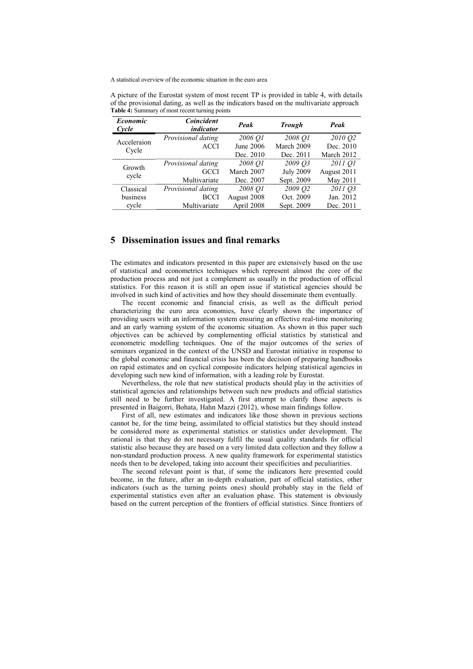| Economic<br>Cycle | Coincident<br>indicator | Peak        | <b>Trough</b>    | Peak        |
|-------------------|-------------------------|-------------|------------------|-------------|
| Acceleraion       | Provisional dating      | 2006 O1     | 2008 Q1          | 2010 02     |
| Cycle             | <b>ACCI</b>             | June 2006   | March 2009       | Dec. 2010   |
|                   |                         | Dec. 2010   | Dec. 2011        | March 2012  |
| Growth<br>cycle   | Provisional dating      | 2008 O1     | 2009 03          | 2011 Q1     |
|                   | GCCI                    | March 2007  | <b>July 2009</b> | August 2011 |
|                   | Multivariate            | Dec. 2007   | Sept. 2009       | May 2011    |
| Classical         | Provisional dating      | 2008 O1     | 2009 O2          | 2011 03     |
| business          | <b>BCCI</b>             | August 2008 | Oct. 2009        | Jan. 2012   |
| cycle             | Multivariate            | April 2008  | Sept. 2009       | Dec. 2011   |

A picture of the Eurostat system of most recent TP is provided in table 4, with details of the provisional dating, as well as the indicators based on the multivariate approach **Table 4:** Summary of most recent turning points

#### **5 Dissemination issues and final remarks**

The estimates and indicators presented in this paper are extensively based on the use of statistical and econometrics techniques which represent almost the core of the production process and not just a complement as usually in the production of official statistics. For this reason it is still an open issue if statistical agencies should be involved in such kind of activities and how they should disseminate them eventually.

The recent economic and financial crisis, as well as the difficult period characterizing the euro area economies, have clearly shown the importance of providing users with an information system ensuring an effective real-time monitoring and an early warning system of the economic situation. As shown in this paper such objectives can be achieved by complementing official statistics by statistical and econometric modelling techniques. One of the major outcomes of the series of seminars organized in the context of the UNSD and Eurostat initiative in response to the global economic and financial crisis has been the decision of preparing handbooks on rapid estimates and on cyclical composite indicators helping statistical agencies in developing such new kind of information, with a leading role by Eurostat.

Nevertheless, the role that new statistical products should play in the activities of statistical agencies and relationships between such new products and official statistics still need to be further investigated. A first attempt to clarify those aspects is presented in Baigorri, Bohata, Hahn Mazzi (2012), whose main findings follow.

First of all, new estimates and indicators like those shown in previous sections cannot be, for the time being, assimilated to official statistics but they should instead be considered more as experimental statistics or statistics under development. The rational is that they do not necessary fulfil the usual quality standards for official statistic also because they are based on a very limited data collection and they follow a non-standard production process. A new quality framework for experimental statistics needs then to be developed, taking into account their specificities and peculiarities.

The second relevant point is that, if some the indicators here presented could become, in the future, after an in-depth evaluation, part of official statistics, other indicators (such as the turning points ones) should probably stay in the field of experimental statistics even after an evaluation phase. This statement is obviously based on the current perception of the frontiers of official statistics. Since frontiers of